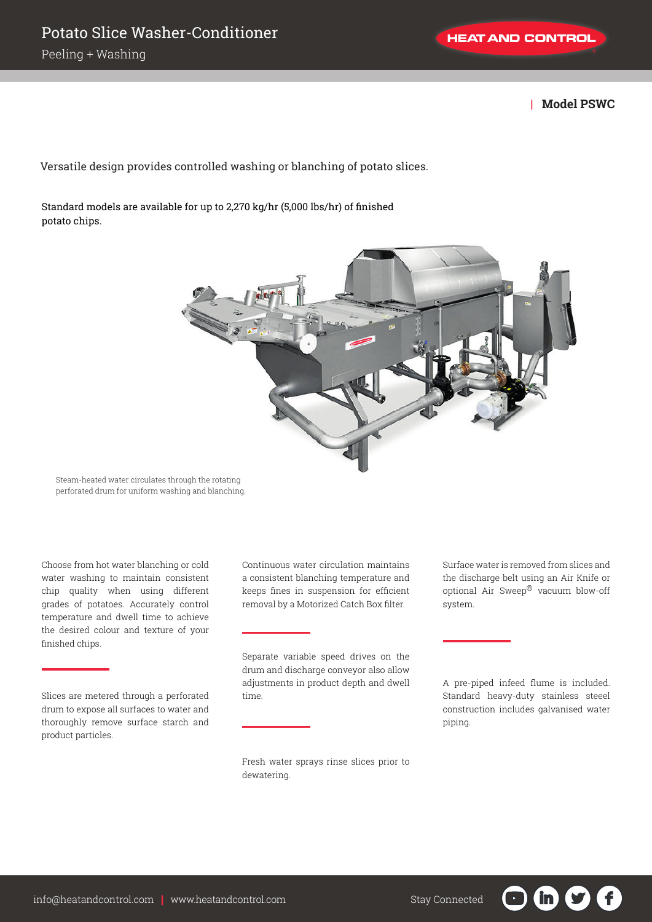**| Model PSWC**

Versatile design provides controlled washing or blanching of potato slices.

Standard models are available for up to 2,270 kg/hr (5,000 lbs/hr) of finished potato chips.



Steam-heated water circulates through the rotating perforated drum for uniform washing and blanching.

Choose from hot water blanching or cold water washing to maintain consistent chip quality when using different grades of potatoes. Accurately control temperature and dwell time to achieve the desired colour and texture of your finished chips.

Slices are metered through a perforated drum to expose all surfaces to water and thoroughly remove surface starch and product particles.

Continuous water circulation maintains a consistent blanching temperature and keeps fines in suspension for efficient removal by a Motorized Catch Box filter.

Separate variable speed drives on the drum and discharge conveyor also allow adjustments in product depth and dwell time.

Fresh water sprays rinse slices prior to dewatering.

Surface water is removed from slices and the discharge belt using an Air Knife or optional Air Sweep® vacuum blow-off system.

A pre-piped infeed flume is included. Standard heavy-duty stainless steeel construction includes galvanised water piping.

in.